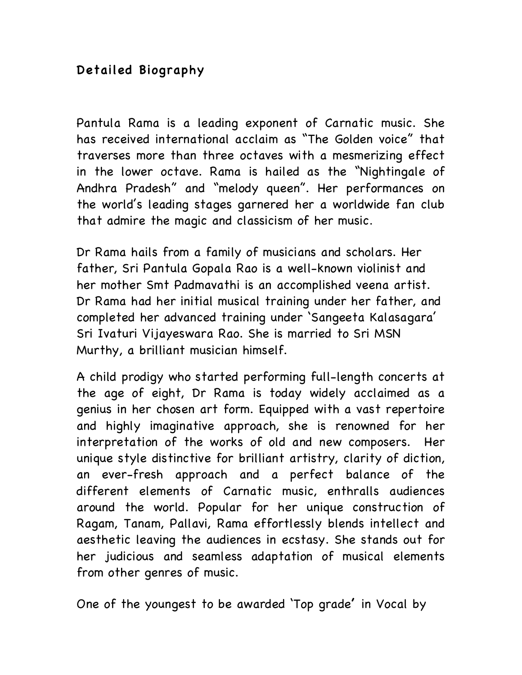## Detailed Biography

Pantula Rama is a leading exponent of Carnatic music. She has received international acclaim as "The Golden voice" that traverses more than three octaves with a mesmerizing effect in the lower octave. Rama is hailed as the "Nightingale of Andhra Pradesh" and "melody queen". Her performances on the world's leading stages garnered her a worldwide fan club that admire the magic and classicism of her music.

Dr Rama hails from a family of musicians and scholars. Her father, Sri Pantula Gopala Rao is a well-known violinist and her mother Smt Padmavathi is an accomplished veena artist. Dr Rama had her initial musical training under her father, and completed her advanced training under 'Sangeeta Kalasagara' Sri Ivaturi Vijayeswara Rao. She is married to Sri MSN Murthy, a brilliant musician himself.

A child prodigy who started performing full-length concerts at the age of eight, Dr Rama is today widely acclaimed as a genius in her chosen art form. Equipped with a vast repertoire and highly imaginative approach, she is renowned for her interpretation of the works of old and new composers. Her unique style distinctive for brilliant artistry, clarity of diction, an ever-fresh approach and a perfect balance of the different elements of Carnatic music, enthralls audiences around the world. Popular for her unique construction of Ragam, Tanam, Pallavi, Rama effortlessly blends intellect and aesthetic leaving the audiences in ecstasy. She stands out for her judicious and seamless adaptation of musical elements from other genres of music.

One of the youngest to be awarded 'Top grade' in Vocal by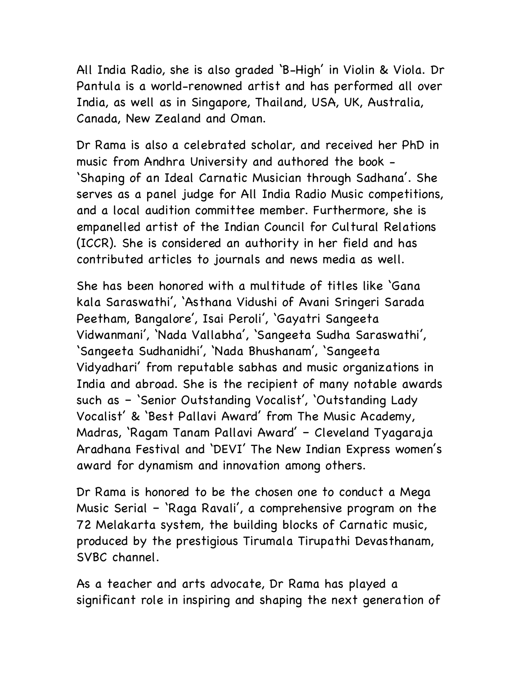All India Radio, she is also graded 'B-High' in Violin & Viola. Dr Pantula is a world-renowned artist and has performed all over India, as well as in Singapore, Thailand, USA, UK, Australia, Canada, New Zealand and Oman.

Dr Rama is also a celebrated scholar, and received her PhD in music from Andhra University and authored the book - 'Shaping of an Ideal Carnatic Musician through Sadhana'. She serves as a panel judge for All India Radio Music competitions, and a local audition committee member. Furthermore, she is empanelled artist of the Indian Council for Cultural Relations (ICCR). She is considered an authority in her field and has contributed articles to journals and news media as well.

She has been honored with a multitude of titles like 'Gana kala Saraswathi', 'Asthana Vidushi of Avani Sringeri Sarada Peetham, Bangalore', Isai Peroli', 'Gayatri Sangeeta Vidwanmani', 'Nada Vallabha', 'Sangeeta Sudha Saraswathi', 'Sangeeta Sudhanidhi', 'Nada Bhushanam', 'Sangeeta Vidyadhari' from reputable sabhas and music organizations in India and abroad. She is the recipient of many notable awards such as – 'Senior Outstanding Vocalist', 'Outstanding Lady Vocalist' & 'Best Pallavi Award' from The Music Academy, Madras, 'Ragam Tanam Pallavi Award' – Cleveland Tyagaraja Aradhana Festival and 'DEVI' The New Indian Express women's award for dynamism and innovation among others.

Dr Rama is honored to be the chosen one to conduct a Mega Music Serial – 'Raga Ravali', a comprehensive program on the 72 Melakarta system, the building blocks of Carnatic music, produced by the prestigious Tirumala Tirupathi Devasthanam, SVBC channel.

As a teacher and arts advocate, Dr Rama has played a significant role in inspiring and shaping the next generation of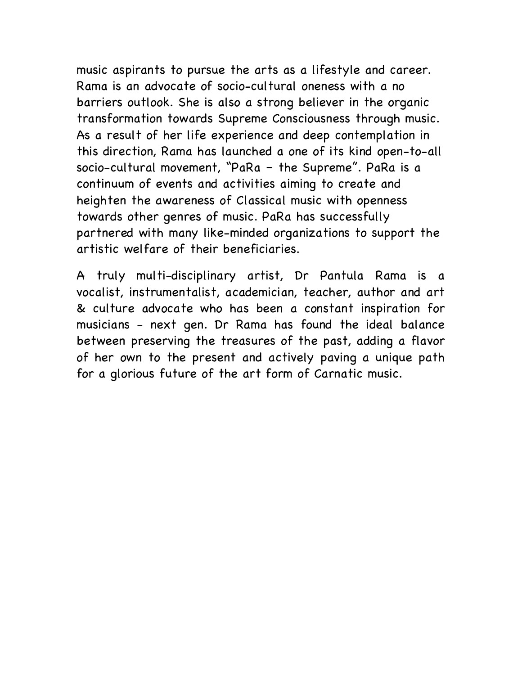music aspirants to pursue the arts as a lifestyle and career. Rama is an advocate of socio-cultural oneness with a no barriers outlook. She is also a strong believer in the organic transformation towards Supreme Consciousness through music. As a result of her life experience and deep contemplation in this direction, Rama has launched a one of its kind open-to-all socio-cultural movement, "PaRa – the Supreme". PaRa is a continuum of events and activities aiming to create and heighten the awareness of Classical music with openness towards other genres of music. PaRa has successfully partnered with many like-minded organizations to support the artistic welfare of their beneficiaries.

A truly multi-disciplinary artist, Dr Pantula Rama is a vocalist, instrumentalist, academician, teacher, author and art & culture advocate who has been a constant inspiration for musicians - next gen. Dr Rama has found the ideal balance between preserving the treasures of the past, adding a flavor of her own to the present and actively paving a unique path for a glorious future of the art form of Carnatic music.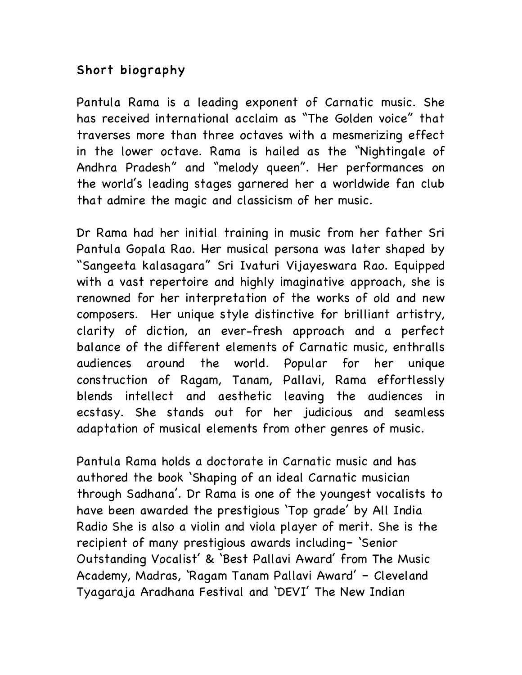## Short biography

Pantula Rama is a leading exponent of Carnatic music. She has received international acclaim as "The Golden voice" that traverses more than three octaves with a mesmerizing effect in the lower octave. Rama is hailed as the "Nightingale of Andhra Pradesh" and "melody queen". Her performances on the world's leading stages garnered her a worldwide fan club that admire the magic and classicism of her music.

Dr Rama had her initial training in music from her father Sri Pantula Gopala Rao. Her musical persona was later shaped by "Sangeeta kalasagara" Sri Ivaturi Vijayeswara Rao. Equipped with a vast repertoire and highly imaginative approach, she is renowned for her interpretation of the works of old and new composers. Her unique style distinctive for brilliant artistry, clarity of diction, an ever-fresh approach and a perfect balance of the different elements of Carnatic music, enthralls audiences around the world. Popular for her unique construction of Ragam, Tanam, Pallavi, Rama effortlessly blends intellect and aesthetic leaving the audiences in ecstasy. She stands out for her judicious and seamless adaptation of musical elements from other genres of music.

Pantula Rama holds a doctorate in Carnatic music and has authored the book 'Shaping of an ideal Carnatic musician through Sadhana'. Dr Rama is one of the youngest vocalists to have been awarded the prestigious 'Top grade' by All India Radio She is also a violin and viola player of merit. She is the recipient of many prestigious awards including– 'Senior Outstanding Vocalist' & 'Best Pallavi Award' from The Music Academy, Madras, 'Ragam Tanam Pallavi Award' – Cleveland Tyagaraja Aradhana Festival and 'DEVI' The New Indian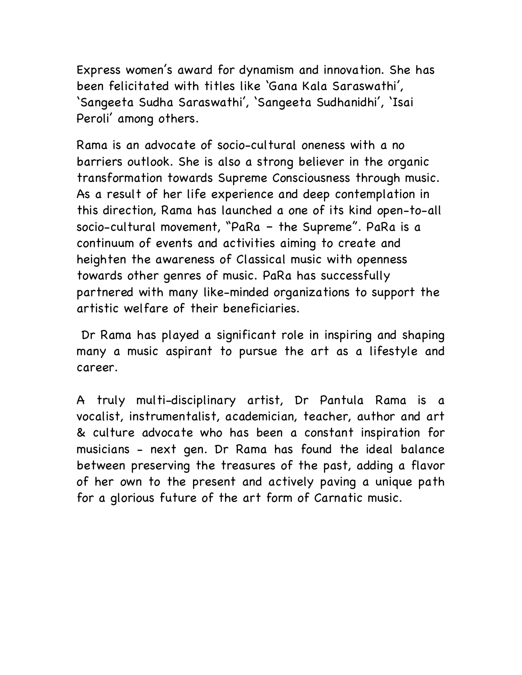Express women's award for dynamism and innovation. She has been felicitated with titles like 'Gana Kala Saraswathi', 'Sangeeta Sudha Saraswathi', 'Sangeeta Sudhanidhi', 'Isai Peroli' among others.

Rama is an advocate of socio-cultural oneness with a no barriers outlook. She is also a strong believer in the organic transformation towards Supreme Consciousness through music. As a result of her life experience and deep contemplation in this direction, Rama has launched a one of its kind open-to-all socio-cultural movement, "PaRa – the Supreme". PaRa is a continuum of events and activities aiming to create and heighten the awareness of Classical music with openness towards other genres of music. PaRa has successfully partnered with many like-minded organizations to support the artistic welfare of their beneficiaries.

Dr Rama has played a significant role in inspiring and shaping many a music aspirant to pursue the art as a lifestyle and career.

A truly multi-disciplinary artist, Dr Pantula Rama is a vocalist, instrumentalist, academician, teacher, author and art & culture advocate who has been a constant inspiration for musicians - next gen. Dr Rama has found the ideal balance between preserving the treasures of the past, adding a flavor of her own to the present and actively paving a unique path for a glorious future of the art form of Carnatic music.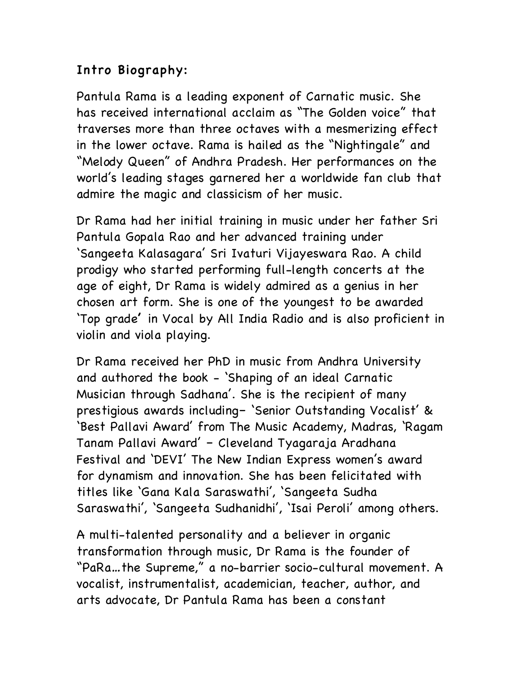## Intro Biography:

Pantula Rama is a leading exponent of Carnatic music. She has received international acclaim as "The Golden voice" that traverses more than three octaves with a mesmerizing effect in the lower octave. Rama is hailed as the "Nightingale" and "Melody Queen" of Andhra Pradesh. Her performances on the world's leading stages garnered her a worldwide fan club that admire the magic and classicism of her music.

Dr Rama had her initial training in music under her father Sri Pantula Gopala Rao and her advanced training under 'Sangeeta Kalasagara' Sri Ivaturi Vijayeswara Rao. A child prodigy who started performing full-length concerts at the age of eight, Dr Rama is widely admired as a genius in her chosen art form. She is one of the youngest to be awarded 'Top grade' in Vocal by All India Radio and is also proficient in violin and viola playing.

Dr Rama received her PhD in music from Andhra University and authored the book - 'Shaping of an ideal Carnatic Musician through Sadhana'. She is the recipient of many prestigious awards including– 'Senior Outstanding Vocalist' & 'Best Pallavi Award' from The Music Academy, Madras, 'Ragam Tanam Pallavi Award' – Cleveland Tyagaraja Aradhana Festival and 'DEVI' The New Indian Express women's award for dynamism and innovation. She has been felicitated with titles like 'Gana Kala Saraswathi', 'Sangeeta Sudha Saraswathi', 'Sangeeta Sudhanidhi', 'Isai Peroli' among others.

A multi-talented personality and a believer in organic transformation through music, Dr Rama is the founder of "PaRa…the Supreme," a no-barrier socio-cultural movement. A vocalist, instrumentalist, academician, teacher, author, and arts advocate, Dr Pantula Rama has been a constant